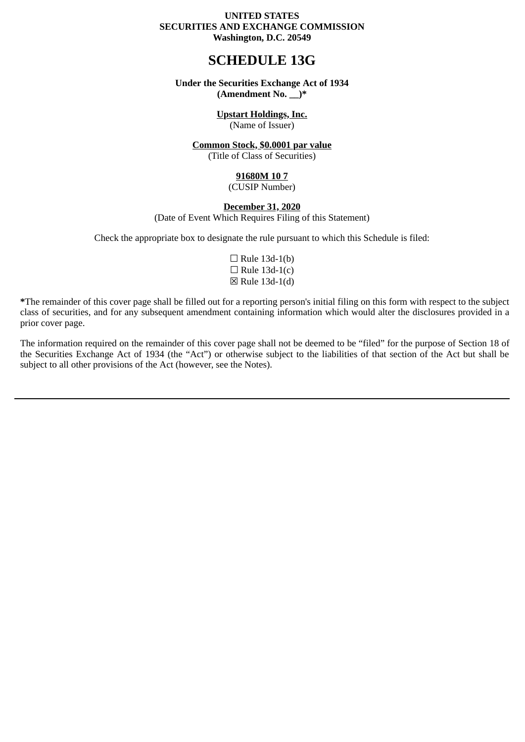#### **UNITED STATES SECURITIES AND EXCHANGE COMMISSION Washington, D.C. 20549**

# **SCHEDULE 13G**

#### **Under the Securities Exchange Act of 1934 (Amendment No. \_\_)\***

#### **Upstart Holdings, Inc.**

(Name of Issuer)

#### **Common Stock, \$0.0001 par value**

(Title of Class of Securities)

#### **91680M 10 7**

(CUSIP Number)

#### **December 31, 2020**

(Date of Event Which Requires Filing of this Statement)

Check the appropriate box to designate the rule pursuant to which this Schedule is filed:

 $\Box$  Rule 13d-1(b)  $\Box$  Rule 13d-1(c) ☒ Rule 13d-1(d)

**\***The remainder of this cover page shall be filled out for a reporting person's initial filing on this form with respect to the subject class of securities, and for any subsequent amendment containing information which would alter the disclosures provided in a prior cover page.

The information required on the remainder of this cover page shall not be deemed to be "filed" for the purpose of Section 18 of the Securities Exchange Act of 1934 (the "Act") or otherwise subject to the liabilities of that section of the Act but shall be subject to all other provisions of the Act (however, see the Notes).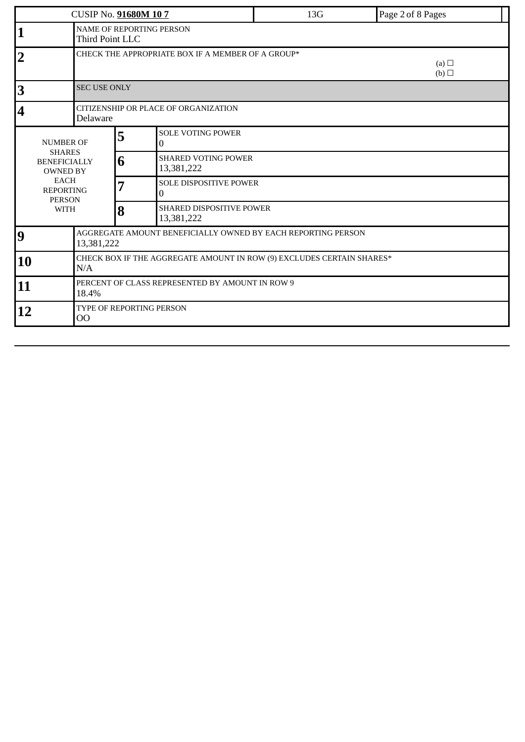| CUSIP No. 91680M 107                                                                                                                           |                                                                                    |   |                                          | 13G | Page 2 of 8 Pages |  |  |  |
|------------------------------------------------------------------------------------------------------------------------------------------------|------------------------------------------------------------------------------------|---|------------------------------------------|-----|-------------------|--|--|--|
|                                                                                                                                                | NAME OF REPORTING PERSON<br>Third Point LLC                                        |   |                                          |     |                   |  |  |  |
| $\overline{2}$                                                                                                                                 | CHECK THE APPROPRIATE BOX IF A MEMBER OF A GROUP*<br>(a) $\Box$<br>$(b)$ $\square$ |   |                                          |     |                   |  |  |  |
| 3                                                                                                                                              | <b>SEC USE ONLY</b>                                                                |   |                                          |     |                   |  |  |  |
| $\overline{\mathbf{4}}$                                                                                                                        | CITIZENSHIP OR PLACE OF ORGANIZATION<br>Delaware                                   |   |                                          |     |                   |  |  |  |
| <b>NUMBER OF</b><br><b>SHARES</b><br><b>BENEFICIALLY</b><br><b>OWNED BY</b><br><b>EACH</b><br><b>REPORTING</b><br><b>PERSON</b><br><b>WITH</b> |                                                                                    | 5 | <b>SOLE VOTING POWER</b><br>$\mathbf{0}$ |     |                   |  |  |  |
|                                                                                                                                                |                                                                                    | 6 | <b>SHARED VOTING POWER</b><br>13,381,222 |     |                   |  |  |  |
|                                                                                                                                                |                                                                                    | 7 | SOLE DISPOSITIVE POWER<br>0              |     |                   |  |  |  |
|                                                                                                                                                |                                                                                    | 8 | SHARED DISPOSITIVE POWER<br>13,381,222   |     |                   |  |  |  |
| 9                                                                                                                                              | AGGREGATE AMOUNT BENEFICIALLY OWNED BY EACH REPORTING PERSON<br>13,381,222         |   |                                          |     |                   |  |  |  |
| 10                                                                                                                                             | CHECK BOX IF THE AGGREGATE AMOUNT IN ROW (9) EXCLUDES CERTAIN SHARES*<br>N/A       |   |                                          |     |                   |  |  |  |
| 11                                                                                                                                             | PERCENT OF CLASS REPRESENTED BY AMOUNT IN ROW 9<br>18.4%                           |   |                                          |     |                   |  |  |  |
| 12                                                                                                                                             | TYPE OF REPORTING PERSON<br>00                                                     |   |                                          |     |                   |  |  |  |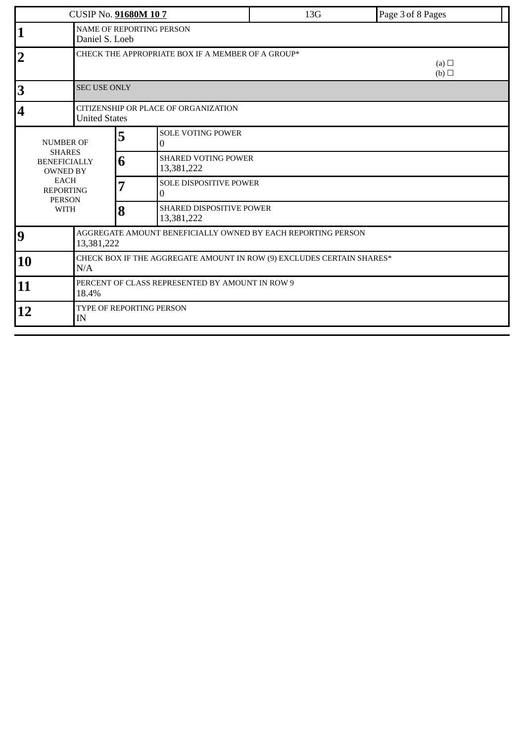| <b>CUSIP No. 91680M 107</b>                                                                                                                    |                                                                            |   |                                                   | 13G               | Page 3 of 8 Pages |  |  |  |
|------------------------------------------------------------------------------------------------------------------------------------------------|----------------------------------------------------------------------------|---|---------------------------------------------------|-------------------|-------------------|--|--|--|
| 1                                                                                                                                              | NAME OF REPORTING PERSON<br>Daniel S. Loeb                                 |   |                                                   |                   |                   |  |  |  |
| $\overline{2}$                                                                                                                                 |                                                                            |   | CHECK THE APPROPRIATE BOX IF A MEMBER OF A GROUP* | (a) $\Box$<br>(b) |                   |  |  |  |
| 3                                                                                                                                              | <b>SEC USE ONLY</b>                                                        |   |                                                   |                   |                   |  |  |  |
| $\overline{\mathbf{4}}$                                                                                                                        | CITIZENSHIP OR PLACE OF ORGANIZATION<br><b>United States</b>               |   |                                                   |                   |                   |  |  |  |
| <b>NUMBER OF</b><br><b>SHARES</b><br><b>BENEFICIALLY</b><br><b>OWNED BY</b><br><b>EACH</b><br><b>REPORTING</b><br><b>PERSON</b><br><b>WITH</b> |                                                                            | 5 | <b>SOLE VOTING POWER</b><br>0                     |                   |                   |  |  |  |
|                                                                                                                                                |                                                                            | 6 | <b>SHARED VOTING POWER</b><br>13,381,222          |                   |                   |  |  |  |
|                                                                                                                                                |                                                                            | 7 | SOLE DISPOSITIVE POWER<br>0                       |                   |                   |  |  |  |
|                                                                                                                                                |                                                                            | 8 | <b>SHARED DISPOSITIVE POWER</b><br>13,381,222     |                   |                   |  |  |  |
| 9                                                                                                                                              | AGGREGATE AMOUNT BENEFICIALLY OWNED BY EACH REPORTING PERSON<br>13,381,222 |   |                                                   |                   |                   |  |  |  |
| CHECK BOX IF THE AGGREGATE AMOUNT IN ROW (9) EXCLUDES CERTAIN SHARES*<br>10<br>N/A                                                             |                                                                            |   |                                                   |                   |                   |  |  |  |
| 11                                                                                                                                             | 18.4%                                                                      |   | PERCENT OF CLASS REPRESENTED BY AMOUNT IN ROW 9   |                   |                   |  |  |  |
| 12                                                                                                                                             |                                                                            |   |                                                   |                   |                   |  |  |  |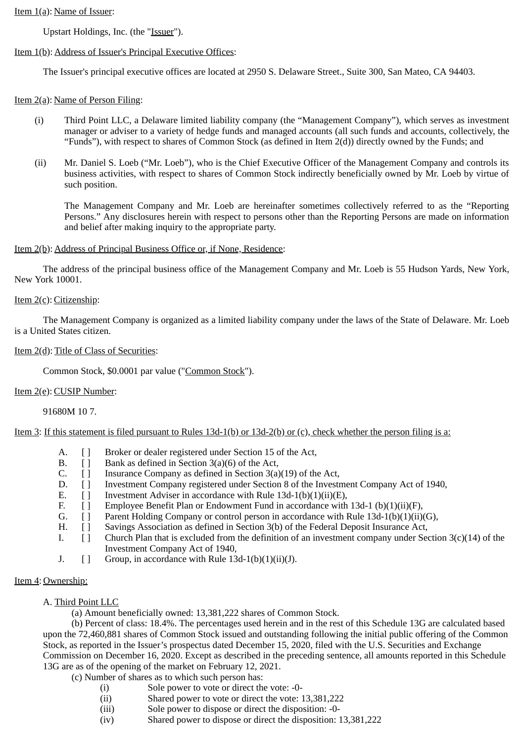# Item 1(a): Name of Issuer:

Upstart Holdings, Inc. (the "Issuer").

# Item 1(b): Address of Issuer's Principal Executive Offices:

The Issuer's principal executive offices are located at 2950 S. Delaware Street., Suite 300, San Mateo, CA 94403.

# Item 2(a): Name of Person Filing:

- (i) Third Point LLC, a Delaware limited liability company (the "Management Company"), which serves as investment manager or adviser to a variety of hedge funds and managed accounts (all such funds and accounts, collectively, the "Funds"), with respect to shares of Common Stock (as defined in Item 2(d)) directly owned by the Funds; and
- (ii) Mr. Daniel S. Loeb ("Mr. Loeb"), who is the Chief Executive Officer of the Management Company and controls its business activities, with respect to shares of Common Stock indirectly beneficially owned by Mr. Loeb by virtue of such position.

The Management Company and Mr. Loeb are hereinafter sometimes collectively referred to as the "Reporting Persons." Any disclosures herein with respect to persons other than the Reporting Persons are made on information and belief after making inquiry to the appropriate party.

# Item 2(b): Address of Principal Business Office or, if None, Residence:

The address of the principal business office of the Management Company and Mr. Loeb is 55 Hudson Yards, New York, New York 10001.

# Item 2(c): Citizenship:

The Management Company is organized as a limited liability company under the laws of the State of Delaware. Mr. Loeb is a United States citizen.

#### Item 2(d): Title of Class of Securities:

Common Stock, \$0.0001 par value ("Common Stock").

# Item 2(e): CUSIP Number:

91680M 10 7.

Item 3: If this statement is filed pursuant to Rules 13d-1(b) or 13d-2(b) or (c), check whether the person filing is a:

- A. [ ] Broker or dealer registered under Section 15 of the Act,
- B. [ ] Bank as defined in Section 3(a)(6) of the Act,
- C.  $\Box$  Insurance Company as defined in Section 3(a)(19) of the Act,
- D. [ ] Investment Company registered under Section 8 of the Investment Company Act of 1940,
- E. [ ] Investment Adviser in accordance with Rule 13d-1(b)(1)(ii)(E),
- F. [ ] Employee Benefit Plan or Endowment Fund in accordance with 13d-1 (b)(1)(ii)(F),
- G. [ ] Parent Holding Company or control person in accordance with Rule 13d-1(b)(1)(ii)(G),
- H. [ ] Savings Association as defined in Section 3(b) of the Federal Deposit Insurance Act,
- I.  $\lceil \cdot \rceil$  Church Plan that is excluded from the definition of an investment company under Section 3(c)(14) of the Investment Company Act of 1940,
- J.  $\lceil \cdot \rceil$  Group, in accordance with Rule 13d-1(b)(1)(ii)(J).

# Item 4: Ownership:

- A. Third Point LLC
	- (a) Amount beneficially owned: 13,381,222 shares of Common Stock.

(b) Percent of class: 18.4%. The percentages used herein and in the rest of this Schedule 13G are calculated based upon the 72,460,881 shares of Common Stock issued and outstanding following the initial public offering of the Common Stock, as reported in the Issuer's prospectus dated December 15, 2020, filed with the U.S. Securities and Exchange Commission on December 16, 2020. Except as described in the preceding sentence, all amounts reported in this Schedule 13G are as of the opening of the market on February 12, 2021.

(c) Number of shares as to which such person has:

- (i) Sole power to vote or direct the vote: -0-
- (ii) Shared power to vote or direct the vote: 13,381,222
- (iii) Sole power to dispose or direct the disposition: -0-
- (iv) Shared power to dispose or direct the disposition: 13,381,222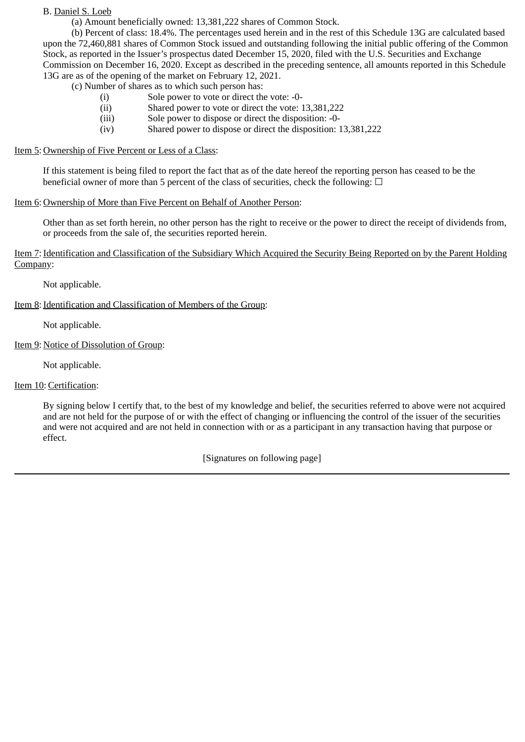B. Daniel S. Loeb

(a) Amount beneficially owned: 13,381,222 shares of Common Stock.

(b) Percent of class: 18.4%. The percentages used herein and in the rest of this Schedule 13G are calculated based upon the 72,460,881 shares of Common Stock issued and outstanding following the initial public offering of the Common Stock, as reported in the Issuer's prospectus dated December 15, 2020, filed with the U.S. Securities and Exchange Commission on December 16, 2020. Except as described in the preceding sentence, all amounts reported in this Schedule 13G are as of the opening of the market on February 12, 2021.

(c) Number of shares as to which such person has:

- (i) Sole power to vote or direct the vote: -0-
- (ii) Shared power to vote or direct the vote: 13,381,222
- (iii) Sole power to dispose or direct the disposition: -0-
- (iv) Shared power to dispose or direct the disposition: 13,381,222

# Item 5: Ownership of Five Percent or Less of a Class:

If this statement is being filed to report the fact that as of the date hereof the reporting person has ceased to be the beneficial owner of more than 5 percent of the class of securities, check the following:  $\Box$ 

# Item 6: Ownership of More than Five Percent on Behalf of Another Person:

Other than as set forth herein, no other person has the right to receive or the power to direct the receipt of dividends from, or proceeds from the sale of, the securities reported herein.

Item 7: Identification and Classification of the Subsidiary Which Acquired the Security Being Reported on by the Parent Holding Company:

Not applicable.

# Item 8: Identification and Classification of Members of the Group:

Not applicable.

# Item 9: Notice of Dissolution of Group:

Not applicable.

# Item 10:Certification:

By signing below I certify that, to the best of my knowledge and belief, the securities referred to above were not acquired and are not held for the purpose of or with the effect of changing or influencing the control of the issuer of the securities and were not acquired and are not held in connection with or as a participant in any transaction having that purpose or effect.

[Signatures on following page]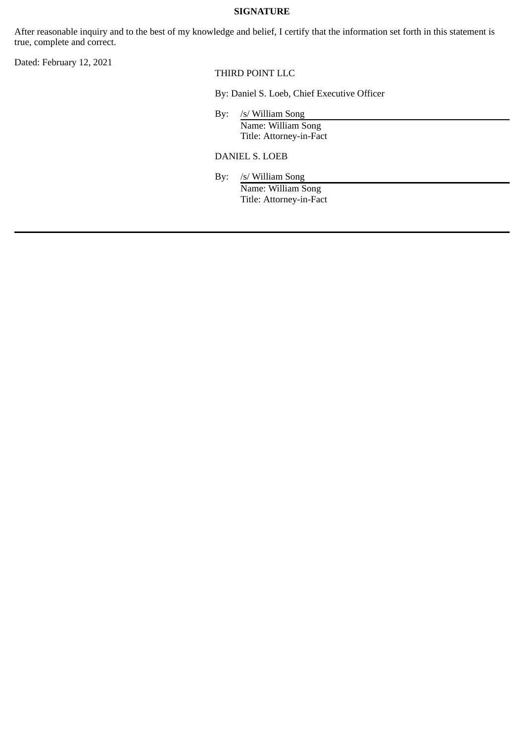#### **SIGNATURE**

After reasonable inquiry and to the best of my knowledge and belief, I certify that the information set forth in this statement is true, complete and correct.

Dated: February 12, 2021

THIRD POINT LLC

By: Daniel S. Loeb, Chief Executive Officer

By: /s/ William Song Name: William Song Title: Attorney-in-Fact

DANIEL S. LOEB

By: /s/ William Song Name: William Song Title: Attorney-in-Fact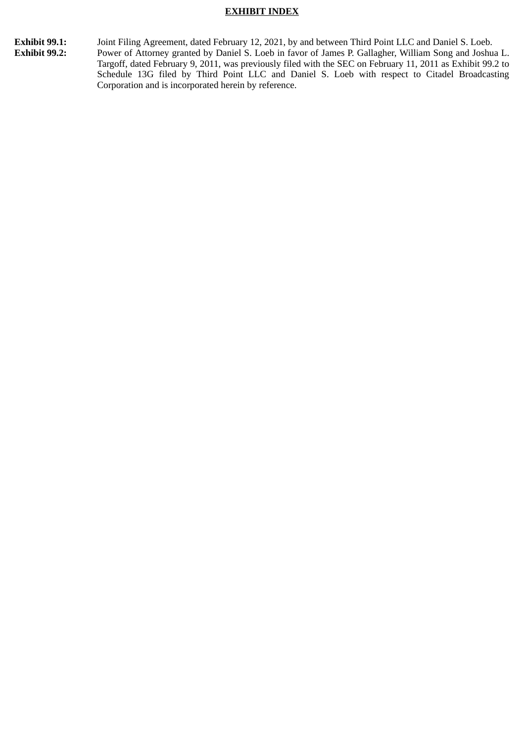#### **EXHIBIT INDEX**

**Exhibit 99.1:** Joint Filing Agreement, dated February 12, 2021, by and between Third Point LLC and Daniel S. Loeb.<br>**Exhibit 99.2:** Power of Attorney granted by Daniel S. Loeb in favor of James P. Gallagher, William Song a Power of Attorney granted by Daniel S. Loeb in favor of James P. Gallagher, William Song and Joshua L. Targoff, dated February 9, 2011, was previously filed with the SEC on February 11, 2011 as Exhibit 99.2 to Schedule 13G filed by Third Point LLC and Daniel S. Loeb with respect to Citadel Broadcasting Corporation and is incorporated herein by reference.